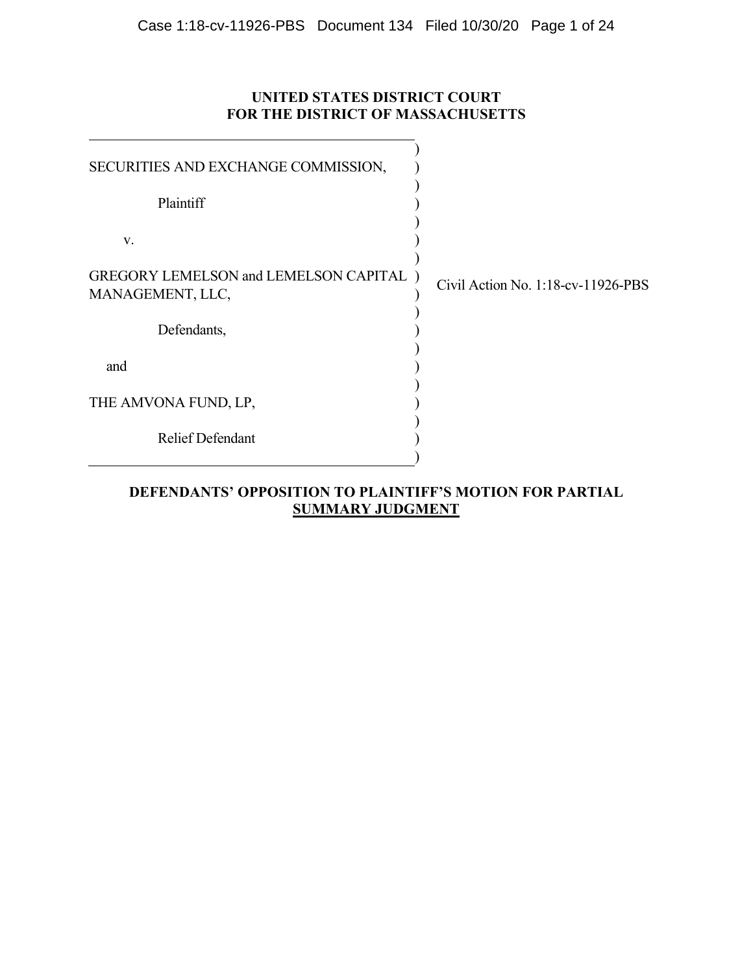# **UNITED STATES DISTRICT COURT FOR THE DISTRICT OF MASSACHUSETTS**

| SECURITIES AND EXCHANGE COMMISSION,                         |                                    |
|-------------------------------------------------------------|------------------------------------|
| Plaintiff                                                   |                                    |
| V.                                                          |                                    |
| GREGORY LEMELSON and LEMELSON CAPITAL )<br>MANAGEMENT, LLC, | Civil Action No. 1:18-cv-11926-PBS |
| Defendants,                                                 |                                    |
| and                                                         |                                    |
| THE AMVONA FUND, LP,                                        |                                    |
| <b>Relief Defendant</b>                                     |                                    |
|                                                             |                                    |

# **DEFENDANTS' OPPOSITION TO PLAINTIFF'S MOTION FOR PARTIAL SUMMARY JUDGMENT**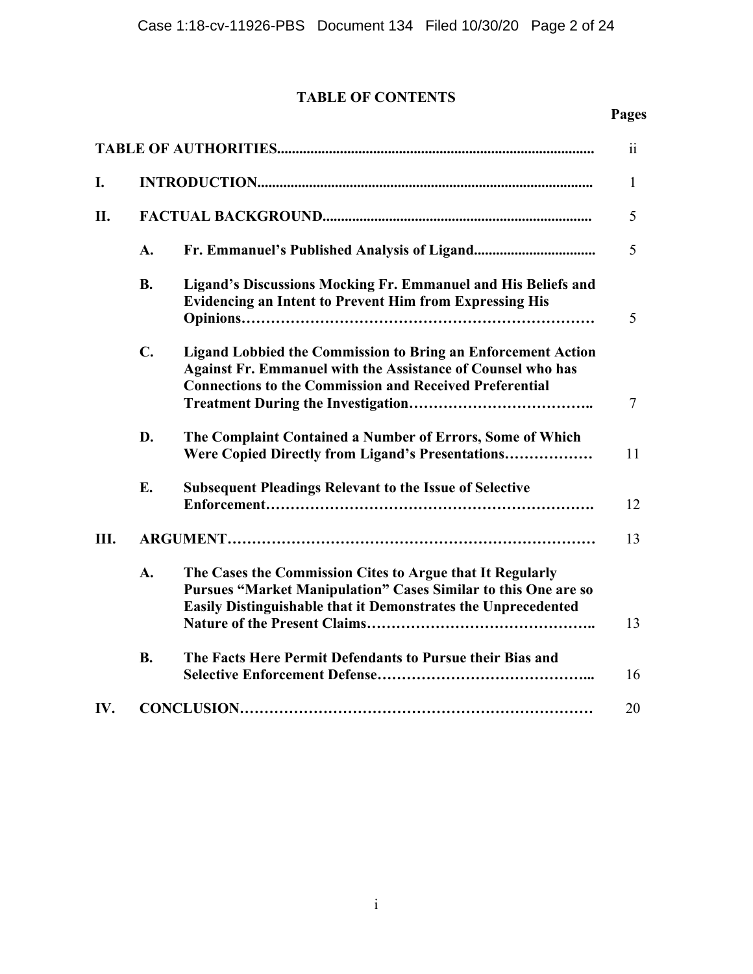# **TABLE OF CONTENTS**

## **Pages**

|     |                |                                                                                                                                                                                                             | $\overline{\mathbf{u}}$ |  |
|-----|----------------|-------------------------------------------------------------------------------------------------------------------------------------------------------------------------------------------------------------|-------------------------|--|
| I.  |                |                                                                                                                                                                                                             | 1                       |  |
| П.  |                |                                                                                                                                                                                                             |                         |  |
|     | A.             |                                                                                                                                                                                                             | 5                       |  |
|     | <b>B.</b>      | Ligand's Discussions Mocking Fr. Emmanuel and His Beliefs and<br><b>Evidencing an Intent to Prevent Him from Expressing His</b>                                                                             | 5                       |  |
|     | $\mathbf{C}$ . | <b>Ligand Lobbied the Commission to Bring an Enforcement Action</b><br><b>Against Fr. Emmanuel with the Assistance of Counsel who has</b><br><b>Connections to the Commission and Received Preferential</b> | 7                       |  |
|     | D.             | The Complaint Contained a Number of Errors, Some of Which<br>Were Copied Directly from Ligand's Presentations                                                                                               | 11                      |  |
|     | E.             | <b>Subsequent Pleadings Relevant to the Issue of Selective</b>                                                                                                                                              | 12                      |  |
| Ш.  |                |                                                                                                                                                                                                             | 13                      |  |
|     | A.             | The Cases the Commission Cites to Argue that It Regularly<br><b>Pursues "Market Manipulation" Cases Similar to this One are so</b><br><b>Easily Distinguishable that it Demonstrates the Unprecedented</b>  | 13                      |  |
|     | <b>B.</b>      | The Facts Here Permit Defendants to Pursue their Bias and                                                                                                                                                   | 16                      |  |
| IV. |                |                                                                                                                                                                                                             | 20                      |  |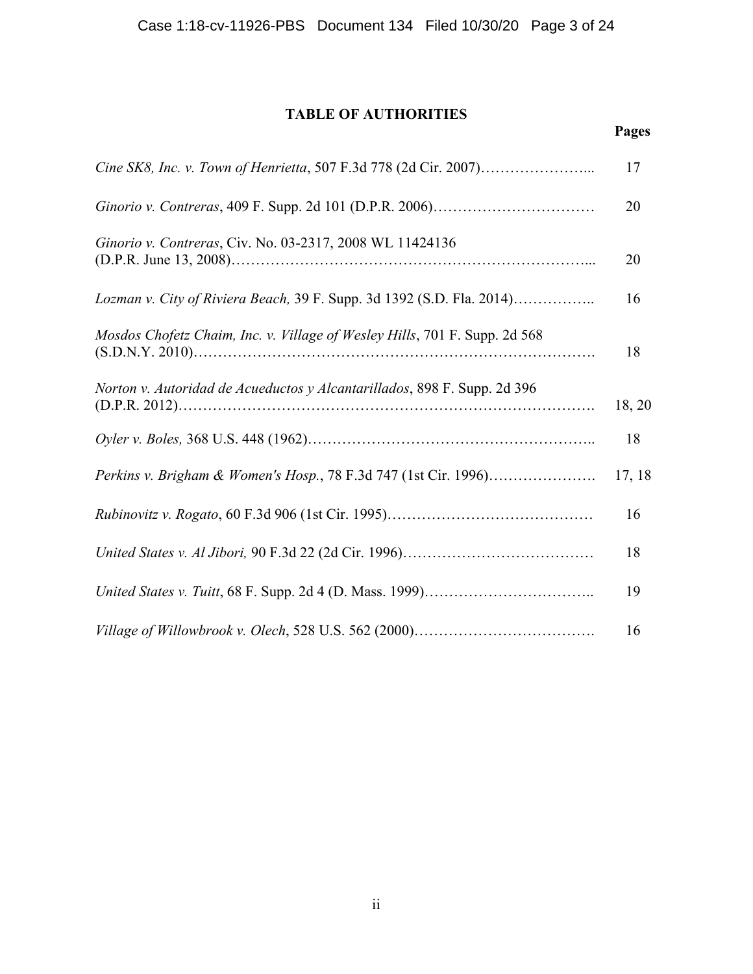# **TABLE OF AUTHORITIES**

|                                                                             | 17     |
|-----------------------------------------------------------------------------|--------|
|                                                                             | 20     |
| Ginorio v. Contreras, Civ. No. 03-2317, 2008 WL 11424136                    | 20     |
| Lozman v. City of Riviera Beach, 39 F. Supp. 3d 1392 (S.D. Fla. 2014)       | 16     |
| Mosdos Chofetz Chaim, Inc. v. Village of Wesley Hills, 701 F. Supp. 2d 568  | 18     |
| Norton v. Autoridad de Acueductos y Alcantarillados, 898 F. Supp. 2d 396    | 18, 20 |
|                                                                             | 18     |
| <i>Perkins v. Brigham &amp; Women's Hosp.</i> , 78 F.3d 747 (1st Cir. 1996) | 17, 18 |
|                                                                             | 16     |
|                                                                             | 18     |
|                                                                             | 19     |
|                                                                             | 16     |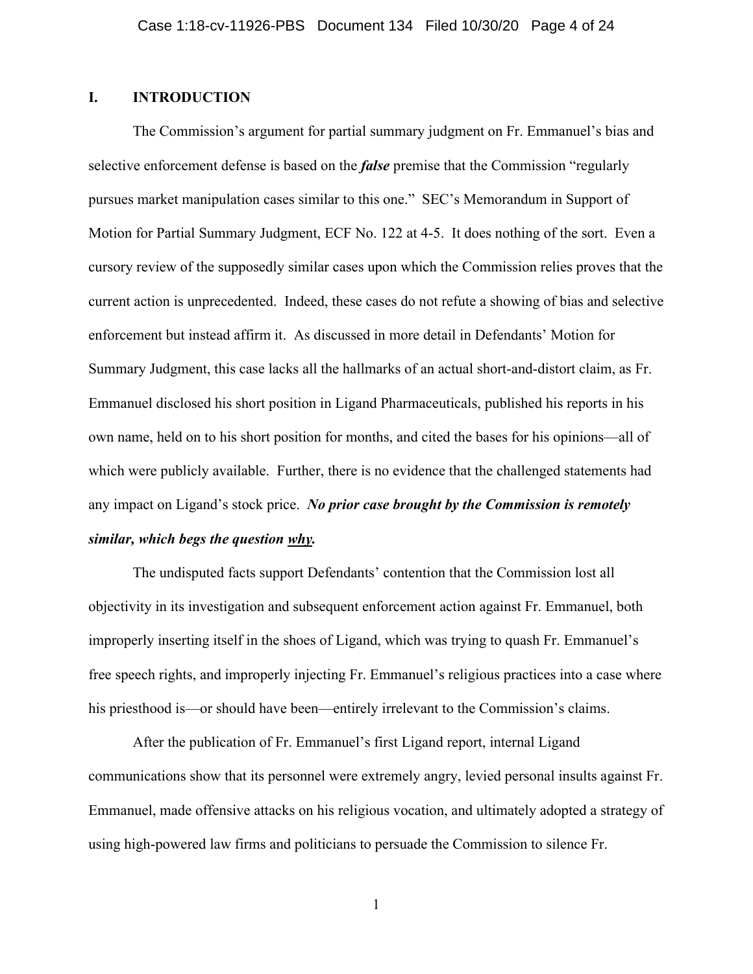## **I. INTRODUCTION**

The Commission's argument for partial summary judgment on Fr. Emmanuel's bias and selective enforcement defense is based on the *false* premise that the Commission "regularly pursues market manipulation cases similar to this one." SEC's Memorandum in Support of Motion for Partial Summary Judgment, ECF No. 122 at 4-5. It does nothing of the sort. Even a cursory review of the supposedly similar cases upon which the Commission relies proves that the current action is unprecedented. Indeed, these cases do not refute a showing of bias and selective enforcement but instead affirm it. As discussed in more detail in Defendants' Motion for Summary Judgment, this case lacks all the hallmarks of an actual short-and-distort claim, as Fr. Emmanuel disclosed his short position in Ligand Pharmaceuticals, published his reports in his own name, held on to his short position for months, and cited the bases for his opinions—all of which were publicly available. Further, there is no evidence that the challenged statements had any impact on Ligand's stock price. *No prior case brought by the Commission is remotely similar, which begs the question why.*

The undisputed facts support Defendants' contention that the Commission lost all objectivity in its investigation and subsequent enforcement action against Fr. Emmanuel, both improperly inserting itself in the shoes of Ligand, which was trying to quash Fr. Emmanuel's free speech rights, and improperly injecting Fr. Emmanuel's religious practices into a case where his priesthood is—or should have been—entirely irrelevant to the Commission's claims.

After the publication of Fr. Emmanuel's first Ligand report, internal Ligand communications show that its personnel were extremely angry, levied personal insults against Fr. Emmanuel, made offensive attacks on his religious vocation, and ultimately adopted a strategy of using high-powered law firms and politicians to persuade the Commission to silence Fr.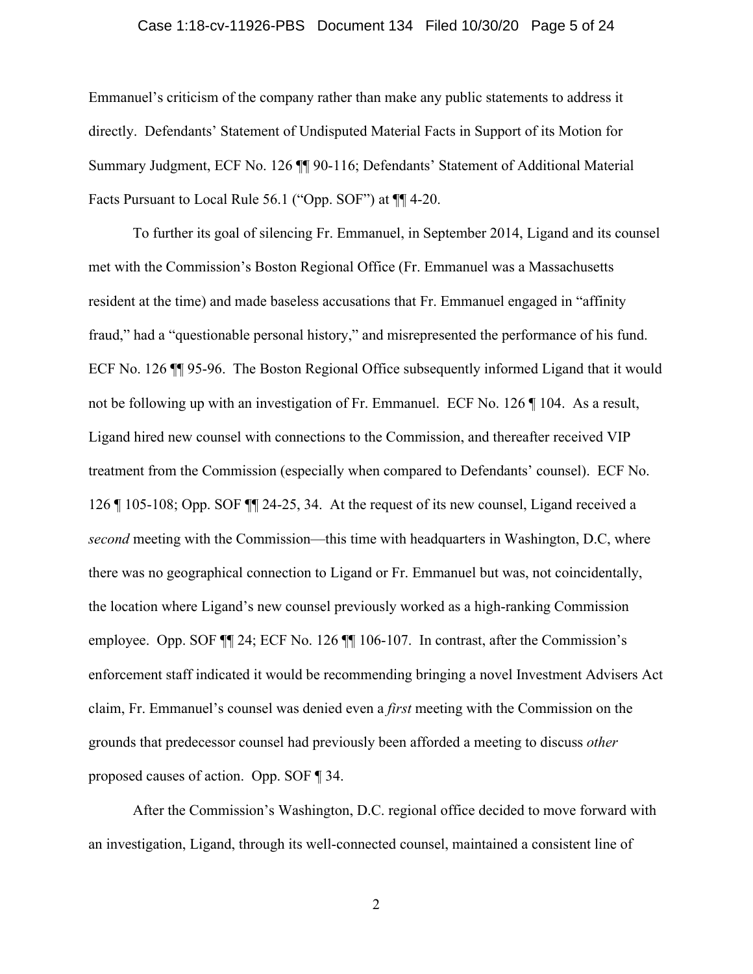#### Case 1:18-cv-11926-PBS Document 134 Filed 10/30/20 Page 5 of 24

Emmanuel's criticism of the company rather than make any public statements to address it directly. Defendants' Statement of Undisputed Material Facts in Support of its Motion for Summary Judgment, ECF No. 126 ¶¶ 90-116; Defendants' Statement of Additional Material Facts Pursuant to Local Rule 56.1 ("Opp. SOF") at ¶¶ 4-20.

To further its goal of silencing Fr. Emmanuel, in September 2014, Ligand and its counsel met with the Commission's Boston Regional Office (Fr. Emmanuel was a Massachusetts resident at the time) and made baseless accusations that Fr. Emmanuel engaged in "affinity fraud," had a "questionable personal history," and misrepresented the performance of his fund. ECF No. 126 ¶¶ 95-96. The Boston Regional Office subsequently informed Ligand that it would not be following up with an investigation of Fr. Emmanuel. ECF No. 126 ¶ 104. As a result, Ligand hired new counsel with connections to the Commission, and thereafter received VIP treatment from the Commission (especially when compared to Defendants' counsel). ECF No. 126 ¶ 105-108; Opp. SOF ¶¶ 24-25, 34. At the request of its new counsel, Ligand received a *second* meeting with the Commission—this time with headquarters in Washington, D.C, where there was no geographical connection to Ligand or Fr. Emmanuel but was, not coincidentally, the location where Ligand's new counsel previously worked as a high-ranking Commission employee. Opp. SOF ¶¶ 24; ECF No. 126 ¶¶ 106-107. In contrast, after the Commission's enforcement staff indicated it would be recommending bringing a novel Investment Advisers Act claim, Fr. Emmanuel's counsel was denied even a *first* meeting with the Commission on the grounds that predecessor counsel had previously been afforded a meeting to discuss *other* proposed causes of action. Opp. SOF ¶ 34.

After the Commission's Washington, D.C. regional office decided to move forward with an investigation, Ligand, through its well-connected counsel, maintained a consistent line of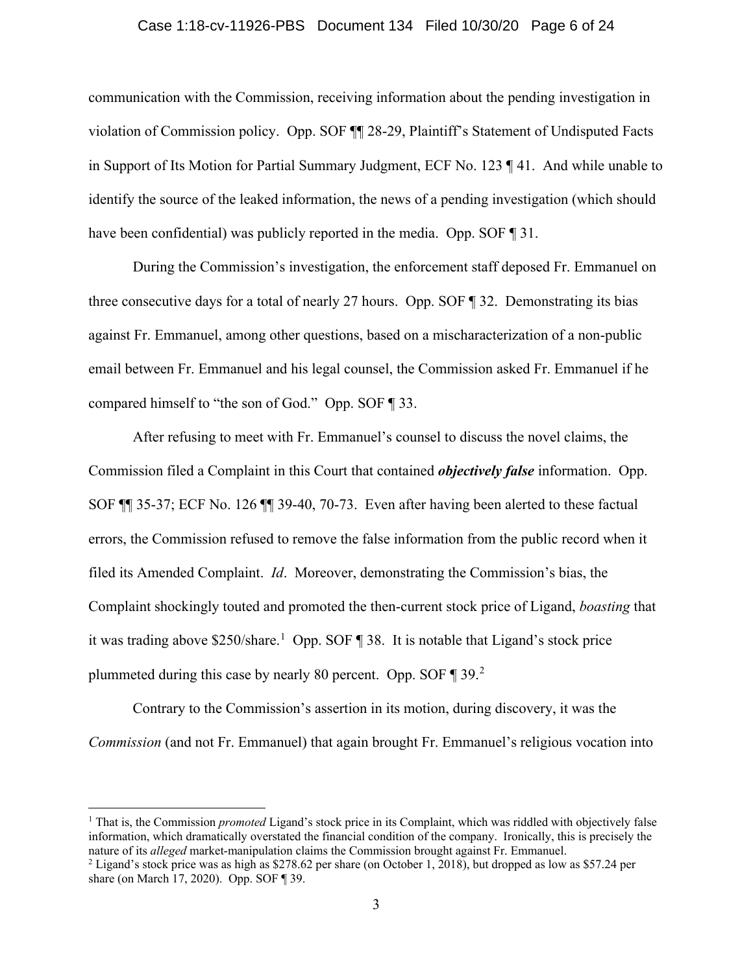#### Case 1:18-cv-11926-PBS Document 134 Filed 10/30/20 Page 6 of 24

communication with the Commission, receiving information about the pending investigation in violation of Commission policy. Opp. SOF ¶¶ 28-29, Plaintiff's Statement of Undisputed Facts in Support of Its Motion for Partial Summary Judgment, ECF No. 123 ¶ 41. And while unable to identify the source of the leaked information, the news of a pending investigation (which should have been confidential) was publicly reported in the media. Opp. SOF  $\P$  31.

During the Commission's investigation, the enforcement staff deposed Fr. Emmanuel on three consecutive days for a total of nearly 27 hours. Opp. SOF ¶ 32. Demonstrating its bias against Fr. Emmanuel, among other questions, based on a mischaracterization of a non-public email between Fr. Emmanuel and his legal counsel, the Commission asked Fr. Emmanuel if he compared himself to "the son of God." Opp. SOF ¶ 33.

After refusing to meet with Fr. Emmanuel's counsel to discuss the novel claims, the Commission filed a Complaint in this Court that contained *objectively false* information. Opp. SOF ¶¶ 35-37; ECF No. 126 ¶¶ 39-40, 70-73. Even after having been alerted to these factual errors, the Commission refused to remove the false information from the public record when it filed its Amended Complaint. *Id*.Moreover, demonstrating the Commission's bias, the Complaint shockingly touted and promoted the then-current stock price of Ligand, *boasting* that it was trading above \$250/share.<sup>[1](#page-5-0)</sup> Opp. SOF 138. It is notable that Ligand's stock price plummeted during this case by nearly 80 percent. Opp. SOF 1 39.[2](#page-5-1)

Contrary to the Commission's assertion in its motion, during discovery, it was the *Commission* (and not Fr. Emmanuel) that again brought Fr. Emmanuel's religious vocation into

<span id="page-5-0"></span><sup>1</sup> That is, the Commission *promoted* Ligand's stock price in its Complaint, which was riddled with objectively false information, which dramatically overstated the financial condition of the company. Ironically, this is precisely the nature of its *alleged* market-manipulation claims the Commission brought against Fr. Emmanuel.

<span id="page-5-1"></span><sup>&</sup>lt;sup>2</sup> Ligand's stock price was as high as \$278.62 per share (on October 1, 2018), but dropped as low as \$57.24 per share (on March 17, 2020). Opp. SOF ¶ 39.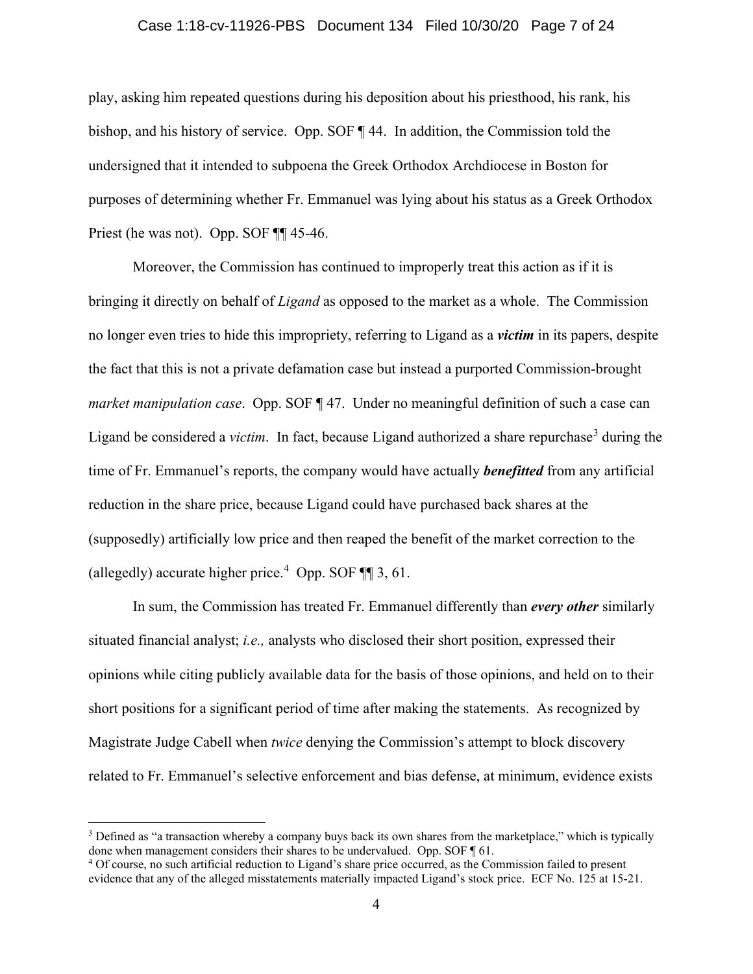#### Case 1:18-cv-11926-PBS Document 134 Filed 10/30/20 Page 7 of 24

play, asking him repeated questions during his deposition about his priesthood, his rank, his bishop, and his history of service. Opp. SOF ¶ 44. In addition, the Commission told the undersigned that it intended to subpoena the Greek Orthodox Archdiocese in Boston for purposes of determining whether Fr. Emmanuel was lying about his status as a Greek Orthodox Priest (he was not). Opp. SOF ¶¶ 45-46.

Moreover, the Commission has continued to improperly treat this action as if it is bringing it directly on behalf of *Ligand* as opposed to the market as a whole. The Commission no longer even tries to hide this impropriety, referring to Ligand as a *victim* in its papers, despite the fact that this is not a private defamation case but instead a purported Commission-brought *market manipulation case*. Opp. SOF ¶ 47. Under no meaningful definition of such a case can Ligand be considered a *victim*. In fact, because Ligand authorized a share repurchase<sup>[3](#page-6-0)</sup> during the time of Fr. Emmanuel's reports, the company would have actually *benefitted* from any artificial reduction in the share price, because Ligand could have purchased back shares at the (supposedly) artificially low price and then reaped the benefit of the market correction to the (allegedly) accurate higher price. [4](#page-6-1) Opp. SOF ¶¶ 3, 61.

In sum, the Commission has treated Fr. Emmanuel differently than *every other* similarly situated financial analyst; *i.e.,* analysts who disclosed their short position, expressed their opinions while citing publicly available data for the basis of those opinions, and held on to their short positions for a significant period of time after making the statements. As recognized by Magistrate Judge Cabell when *twice* denying the Commission's attempt to block discovery related to Fr. Emmanuel's selective enforcement and bias defense, at minimum, evidence exists

<span id="page-6-0"></span><sup>&</sup>lt;sup>3</sup> Defined as "a transaction whereby a company buys back its own shares from the marketplace," which is typically done when management considers their shares to be undervalued. Opp. SOF ¶ 61.

<span id="page-6-1"></span><sup>&</sup>lt;sup>4</sup> Of course, no such artificial reduction to Ligand's share price occurred, as the Commission failed to present evidence that any of the alleged misstatements materially impacted Ligand's stock price. ECF No. 125 at 15-21.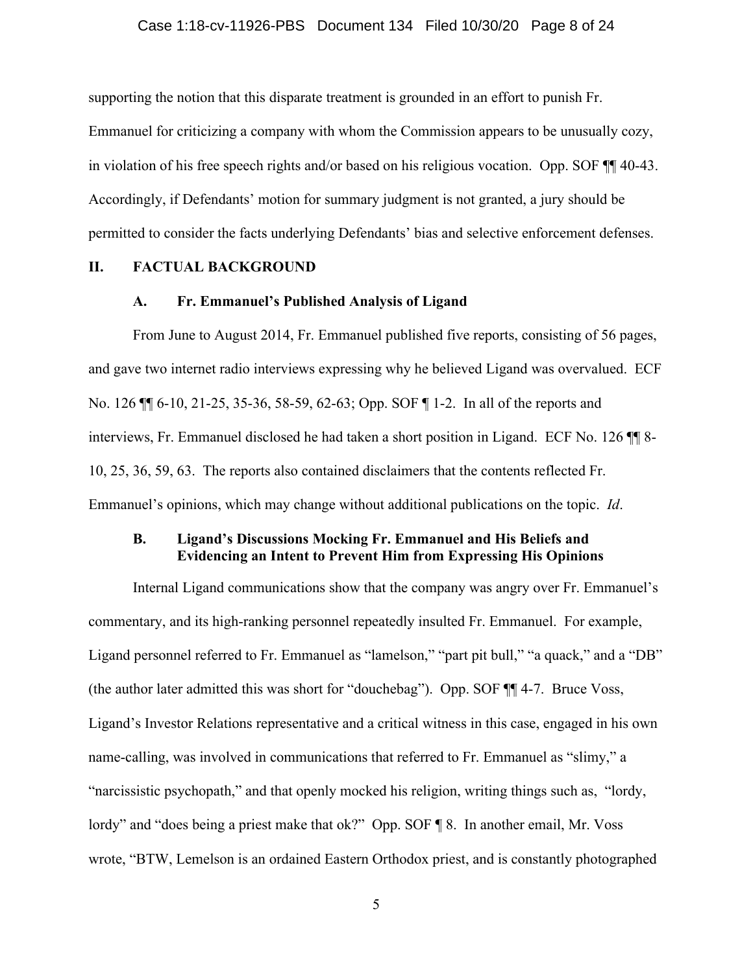#### Case 1:18-cv-11926-PBS Document 134 Filed 10/30/20 Page 8 of 24

supporting the notion that this disparate treatment is grounded in an effort to punish Fr.

Emmanuel for criticizing a company with whom the Commission appears to be unusually cozy, in violation of his free speech rights and/or based on his religious vocation. Opp. SOF ¶¶ 40-43. Accordingly, if Defendants' motion for summary judgment is not granted, a jury should be permitted to consider the facts underlying Defendants' bias and selective enforcement defenses.

### **II. FACTUAL BACKGROUND**

#### **A. Fr. Emmanuel's Published Analysis of Ligand**

From June to August 2014, Fr. Emmanuel published five reports, consisting of 56 pages, and gave two internet radio interviews expressing why he believed Ligand was overvalued. ECF No. 126 ¶¶ 6-10, 21-25, 35-36, 58-59, 62-63; Opp. SOF ¶ 1-2. In all of the reports and interviews, Fr. Emmanuel disclosed he had taken a short position in Ligand. ECF No. 126 10, 25, 36, 59, 63. The reports also contained disclaimers that the contents reflected Fr. Emmanuel's opinions, which may change without additional publications on the topic. *Id*.

## **B. Ligand's Discussions Mocking Fr. Emmanuel and His Beliefs and Evidencing an Intent to Prevent Him from Expressing His Opinions**

Internal Ligand communications show that the company was angry over Fr. Emmanuel's commentary, and its high-ranking personnel repeatedly insulted Fr. Emmanuel. For example, Ligand personnel referred to Fr. Emmanuel as "lamelson," "part pit bull," "a quack," and a "DB" (the author later admitted this was short for "douchebag"). Opp. SOF ¶¶ 4-7. Bruce Voss, Ligand's Investor Relations representative and a critical witness in this case, engaged in his own name-calling, was involved in communications that referred to Fr. Emmanuel as "slimy," a "narcissistic psychopath," and that openly mocked his religion, writing things such as, "lordy, lordy" and "does being a priest make that ok?" Opp. SOF ¶ 8. In another email, Mr. Voss wrote, "BTW, Lemelson is an ordained Eastern Orthodox priest, and is constantly photographed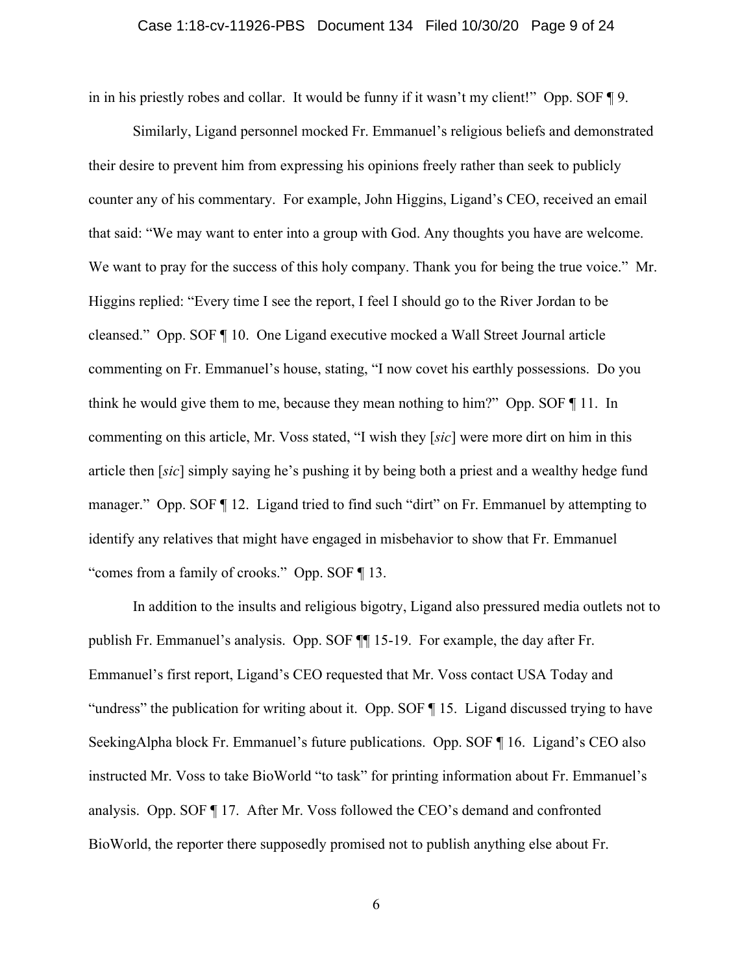#### Case 1:18-cv-11926-PBS Document 134 Filed 10/30/20 Page 9 of 24

in in his priestly robes and collar. It would be funny if it wasn't my client!" Opp. SOF ¶ 9.

Similarly, Ligand personnel mocked Fr. Emmanuel's religious beliefs and demonstrated their desire to prevent him from expressing his opinions freely rather than seek to publicly counter any of his commentary. For example, John Higgins, Ligand's CEO, received an email that said: "We may want to enter into a group with God. Any thoughts you have are welcome. We want to pray for the success of this holy company. Thank you for being the true voice." Mr. Higgins replied: "Every time I see the report, I feel I should go to the River Jordan to be cleansed." Opp. SOF ¶ 10. One Ligand executive mocked a Wall Street Journal article commenting on Fr. Emmanuel's house, stating, "I now covet his earthly possessions. Do you think he would give them to me, because they mean nothing to him?" Opp. SOF ¶ 11. In commenting on this article, Mr. Voss stated, "I wish they [*sic*] were more dirt on him in this article then [*sic*] simply saying he's pushing it by being both a priest and a wealthy hedge fund manager." Opp. SOF ¶ 12. Ligand tried to find such "dirt" on Fr. Emmanuel by attempting to identify any relatives that might have engaged in misbehavior to show that Fr. Emmanuel "comes from a family of crooks." Opp. SOF ¶ 13.

In addition to the insults and religious bigotry, Ligand also pressured media outlets not to publish Fr. Emmanuel's analysis. Opp. SOF ¶¶ 15-19. For example, the day after Fr. Emmanuel's first report, Ligand's CEO requested that Mr. Voss contact USA Today and "undress" the publication for writing about it. Opp. SOF ¶ 15. Ligand discussed trying to have SeekingAlpha block Fr. Emmanuel's future publications. Opp. SOF ¶ 16.Ligand's CEO also instructed Mr. Voss to take BioWorld "to task" for printing information about Fr. Emmanuel's analysis. Opp. SOF ¶ 17. After Mr. Voss followed the CEO's demand and confronted BioWorld, the reporter there supposedly promised not to publish anything else about Fr.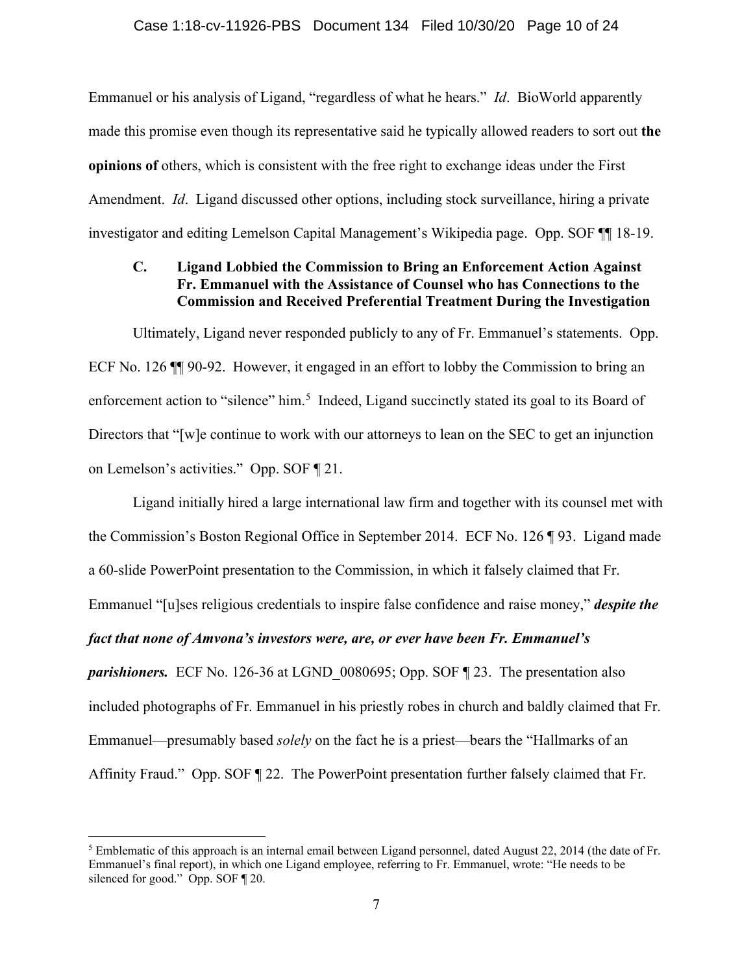Emmanuel or his analysis of Ligand, "regardless of what he hears." *Id*. BioWorld apparently made this promise even though its representative said he typically allowed readers to sort out **the opinions of** others, which is consistent with the free right to exchange ideas under the First Amendment. *Id*. Ligand discussed other options, including stock surveillance, hiring a private investigator and editing Lemelson Capital Management's Wikipedia page. Opp. SOF ¶¶ 18-19.

## **C. Ligand Lobbied the Commission to Bring an Enforcement Action Against Fr. Emmanuel with the Assistance of Counsel who has Connections to the Commission and Received Preferential Treatment During the Investigation**

Ultimately, Ligand never responded publicly to any of Fr. Emmanuel's statements. Opp. ECF No. 126 ¶¶ 90-92. However, it engaged in an effort to lobby the Commission to bring an enforcement action to "silence" him.<sup>[5](#page-9-0)</sup> Indeed, Ligand succinctly stated its goal to its Board of Directors that "[w]e continue to work with our attorneys to lean on the SEC to get an injunction on Lemelson's activities." Opp. SOF ¶ 21.

Ligand initially hired a large international law firm and together with its counsel met with the Commission's Boston Regional Office in September 2014. ECF No. 126 ¶ 93. Ligand made a 60-slide PowerPoint presentation to the Commission, in which it falsely claimed that Fr. Emmanuel "[u]ses religious credentials to inspire false confidence and raise money," *despite the* 

### *fact that none of Amvona's investors were, are, or ever have been Fr. Emmanuel's*

*parishioners.* ECF No. 126-36 at LGND 0080695; Opp. SOF ¶ 23. The presentation also included photographs of Fr. Emmanuel in his priestly robes in church and baldly claimed that Fr. Emmanuel—presumably based *solely* on the fact he is a priest—bears the "Hallmarks of an Affinity Fraud." Opp. SOF ¶ 22. The PowerPoint presentation further falsely claimed that Fr.

<span id="page-9-0"></span><sup>&</sup>lt;sup>5</sup> Emblematic of this approach is an internal email between Ligand personnel, dated August 22, 2014 (the date of Fr. Emmanuel's final report), in which one Ligand employee, referring to Fr. Emmanuel, wrote: "He needs to be silenced for good." Opp. SOF ¶ 20.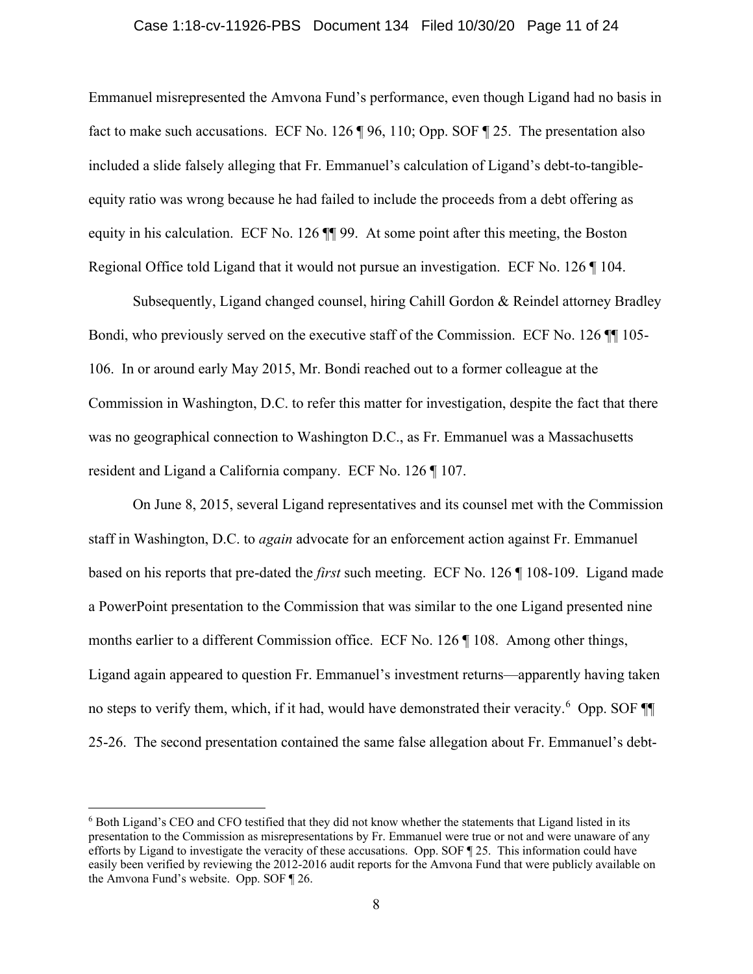#### Case 1:18-cv-11926-PBS Document 134 Filed 10/30/20 Page 11 of 24

Emmanuel misrepresented the Amvona Fund's performance, even though Ligand had no basis in fact to make such accusations. ECF No. 126 ¶ 96, 110; Opp. SOF ¶ 25. The presentation also included a slide falsely alleging that Fr. Emmanuel's calculation of Ligand's debt-to-tangibleequity ratio was wrong because he had failed to include the proceeds from a debt offering as equity in his calculation. ECF No. 126 ¶¶ 99. At some point after this meeting, the Boston Regional Office told Ligand that it would not pursue an investigation. ECF No. 126 ¶ 104.

Subsequently, Ligand changed counsel, hiring Cahill Gordon & Reindel attorney Bradley Bondi, who previously served on the executive staff of the Commission. ECF No. 126  $\P$  105-106. In or around early May 2015, Mr. Bondi reached out to a former colleague at the Commission in Washington, D.C. to refer this matter for investigation, despite the fact that there was no geographical connection to Washington D.C., as Fr. Emmanuel was a Massachusetts resident and Ligand a California company. ECF No. 126 ¶ 107.

On June 8, 2015, several Ligand representatives and its counsel met with the Commission staff in Washington, D.C. to *again* advocate for an enforcement action against Fr. Emmanuel based on his reports that pre-dated the *first* such meeting. ECF No. 126 ¶ 108-109. Ligand made a PowerPoint presentation to the Commission that was similar to the one Ligand presented nine months earlier to a different Commission office. ECF No. 126 ¶ 108. Among other things, Ligand again appeared to question Fr. Emmanuel's investment returns—apparently having taken no steps to verify them, which, if it had, would have demonstrated their veracity.<sup>[6](#page-10-0)</sup> Opp. SOF 25-26. The second presentation contained the same false allegation about Fr. Emmanuel's debt-

<span id="page-10-0"></span><sup>6</sup> Both Ligand's CEO and CFO testified that they did not know whether the statements that Ligand listed in its presentation to the Commission as misrepresentations by Fr. Emmanuel were true or not and were unaware of any efforts by Ligand to investigate the veracity of these accusations. Opp. SOF ¶ 25. This information could have easily been verified by reviewing the 2012-2016 audit reports for the Amvona Fund that were publicly available on the Amvona Fund's website. Opp. SOF ¶ 26.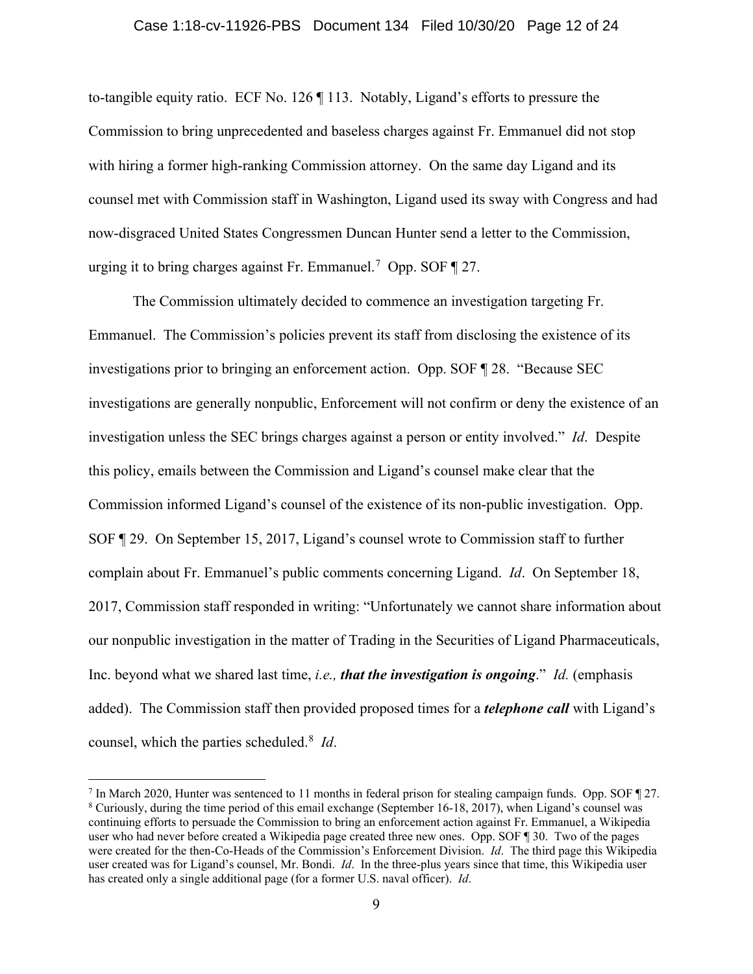to-tangible equity ratio. ECF No. 126 ¶ 113. Notably, Ligand's efforts to pressure the Commission to bring unprecedented and baseless charges against Fr. Emmanuel did not stop with hiring a former high-ranking Commission attorney. On the same day Ligand and its counsel met with Commission staff in Washington, Ligand used its sway with Congress and had now-disgraced United States Congressmen Duncan Hunter send a letter to the Commission, urging it to bring charges against Fr. Emmanuel.<sup>[7](#page-11-0)</sup> Opp. SOF  $\P$  27.

The Commission ultimately decided to commence an investigation targeting Fr. Emmanuel. The Commission's policies prevent its staff from disclosing the existence of its investigations prior to bringing an enforcement action. Opp. SOF ¶ 28. "Because SEC investigations are generally nonpublic, Enforcement will not confirm or deny the existence of an investigation unless the SEC brings charges against a person or entity involved." *Id*. Despite this policy, emails between the Commission and Ligand's counsel make clear that the Commission informed Ligand's counsel of the existence of its non-public investigation. Opp. SOF ¶ 29. On September 15, 2017, Ligand's counsel wrote to Commission staff to further complain about Fr. Emmanuel's public comments concerning Ligand. *Id*. On September 18, 2017, Commission staff responded in writing: "Unfortunately we cannot share information about our nonpublic investigation in the matter of Trading in the Securities of Ligand Pharmaceuticals, Inc. beyond what we shared last time, *i.e., that the investigation is ongoing*." *Id.* (emphasis added). The Commission staff then provided proposed times for a *telephone call* with Ligand's counsel, which the parties scheduled. [8](#page-11-1) *Id*.

<span id="page-11-1"></span><span id="page-11-0"></span><sup>7</sup> In March 2020, Hunter was sentenced to 11 months in federal prison for stealing campaign funds. Opp. SOF ¶ 27. <sup>8</sup> Curiously, during the time period of this email exchange (September 16-18, 2017), when Ligand's counsel was continuing efforts to persuade the Commission to bring an enforcement action against Fr. Emmanuel, a Wikipedia user who had never before created a Wikipedia page created three new ones. Opp. SOF ¶ 30. Two of the pages were created for the then-Co-Heads of the Commission's Enforcement Division. *Id*. The third page this Wikipedia user created was for Ligand's counsel, Mr. Bondi. *Id*. In the three-plus years since that time, this Wikipedia user has created only a single additional page (for a former U.S. naval officer). *Id*.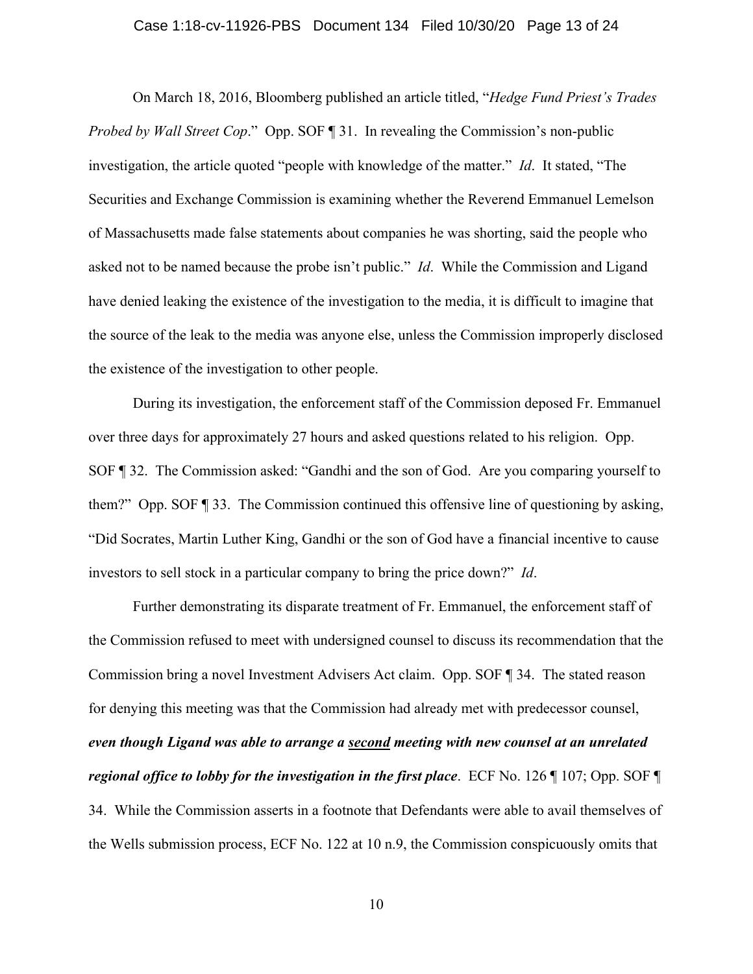#### Case 1:18-cv-11926-PBS Document 134 Filed 10/30/20 Page 13 of 24

On March 18, 2016, Bloomberg published an article titled, "*Hedge Fund Priest's Trades Probed by Wall Street Cop.*" Opp. SOF ¶ 31. In revealing the Commission's non-public investigation, the article quoted "people with knowledge of the matter." *Id*. It stated, "The Securities and Exchange Commission is examining whether the Reverend Emmanuel Lemelson of Massachusetts made false statements about companies he was shorting, said the people who asked not to be named because the probe isn't public." *Id*. While the Commission and Ligand have denied leaking the existence of the investigation to the media, it is difficult to imagine that the source of the leak to the media was anyone else, unless the Commission improperly disclosed the existence of the investigation to other people.

During its investigation, the enforcement staff of the Commission deposed Fr. Emmanuel over three days for approximately 27 hours and asked questions related to his religion. Opp. SOF ¶ 32. The Commission asked: "Gandhi and the son of God. Are you comparing yourself to them?" Opp. SOF ¶ 33. The Commission continued this offensive line of questioning by asking, "Did Socrates, Martin Luther King, Gandhi or the son of God have a financial incentive to cause investors to sell stock in a particular company to bring the price down?" *Id*.

Further demonstrating its disparate treatment of Fr. Emmanuel, the enforcement staff of the Commission refused to meet with undersigned counsel to discuss its recommendation that the Commission bring a novel Investment Advisers Act claim. Opp. SOF ¶ 34. The stated reason for denying this meeting was that the Commission had already met with predecessor counsel, *even though Ligand was able to arrange a second meeting with new counsel at an unrelated regional office to lobby for the investigation in the first place*. ECF No. 126 ¶ 107; Opp. SOF ¶ 34. While the Commission asserts in a footnote that Defendants were able to avail themselves of the Wells submission process, ECF No. 122 at 10 n.9, the Commission conspicuously omits that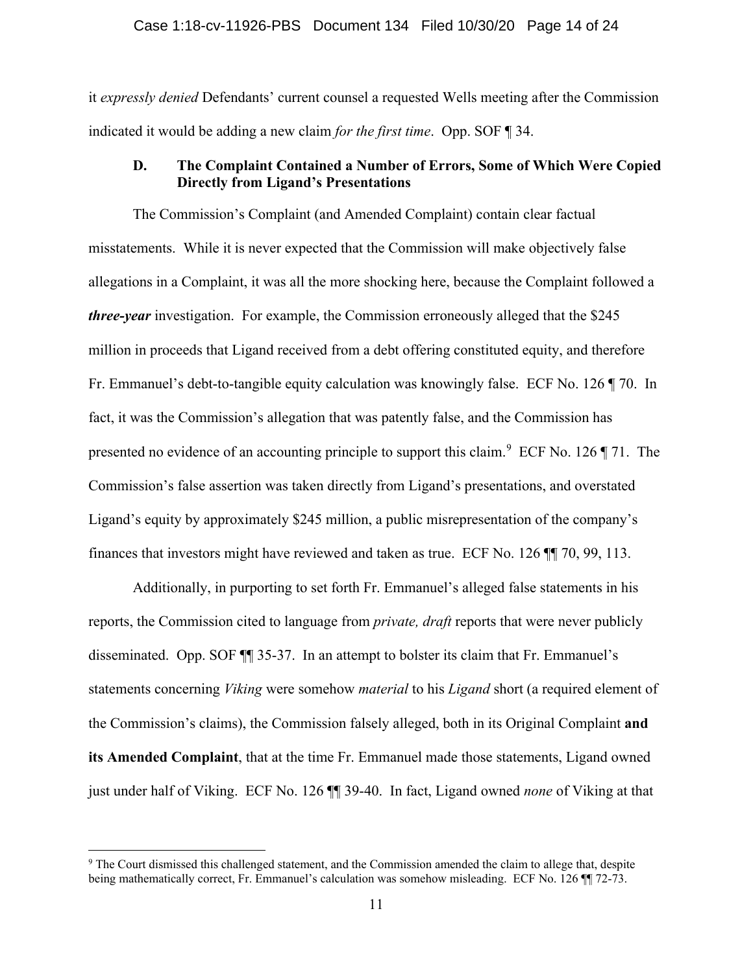#### Case 1:18-cv-11926-PBS Document 134 Filed 10/30/20 Page 14 of 24

it *expressly denied* Defendants' current counsel a requested Wells meeting after the Commission indicated it would be adding a new claim *for the first time*. Opp. SOF ¶ 34.

## **D. The Complaint Contained a Number of Errors, Some of Which Were Copied Directly from Ligand's Presentations**

The Commission's Complaint (and Amended Complaint) contain clear factual misstatements. While it is never expected that the Commission will make objectively false allegations in a Complaint, it was all the more shocking here, because the Complaint followed a *three-year* investigation. For example, the Commission erroneously alleged that the \$245 million in proceeds that Ligand received from a debt offering constituted equity, and therefore Fr. Emmanuel's debt-to-tangible equity calculation was knowingly false. ECF No. 126 ¶ 70. In fact, it was the Commission's allegation that was patently false, and the Commission has presented no evidence of an accounting principle to support this claim.<sup>[9](#page-13-0)</sup> ECF No. 126  $\P$  71. The Commission's false assertion was taken directly from Ligand's presentations, and overstated Ligand's equity by approximately \$245 million, a public misrepresentation of the company's finances that investors might have reviewed and taken as true. ECF No. 126 ¶¶ 70, 99, 113.

Additionally, in purporting to set forth Fr. Emmanuel's alleged false statements in his reports, the Commission cited to language from *private, draft* reports that were never publicly disseminated. Opp. SOF ¶¶ 35-37. In an attempt to bolster its claim that Fr. Emmanuel's statements concerning *Viking* were somehow *material* to his *Ligand* short (a required element of the Commission's claims), the Commission falsely alleged, both in its Original Complaint **and its Amended Complaint**, that at the time Fr. Emmanuel made those statements, Ligand owned just under half of Viking. ECF No. 126 ¶¶ 39-40. In fact, Ligand owned *none* of Viking at that

<span id="page-13-0"></span><sup>9</sup> The Court dismissed this challenged statement, and the Commission amended the claim to allege that, despite being mathematically correct, Fr. Emmanuel's calculation was somehow misleading. ECF No. 126 ¶¶ 72-73.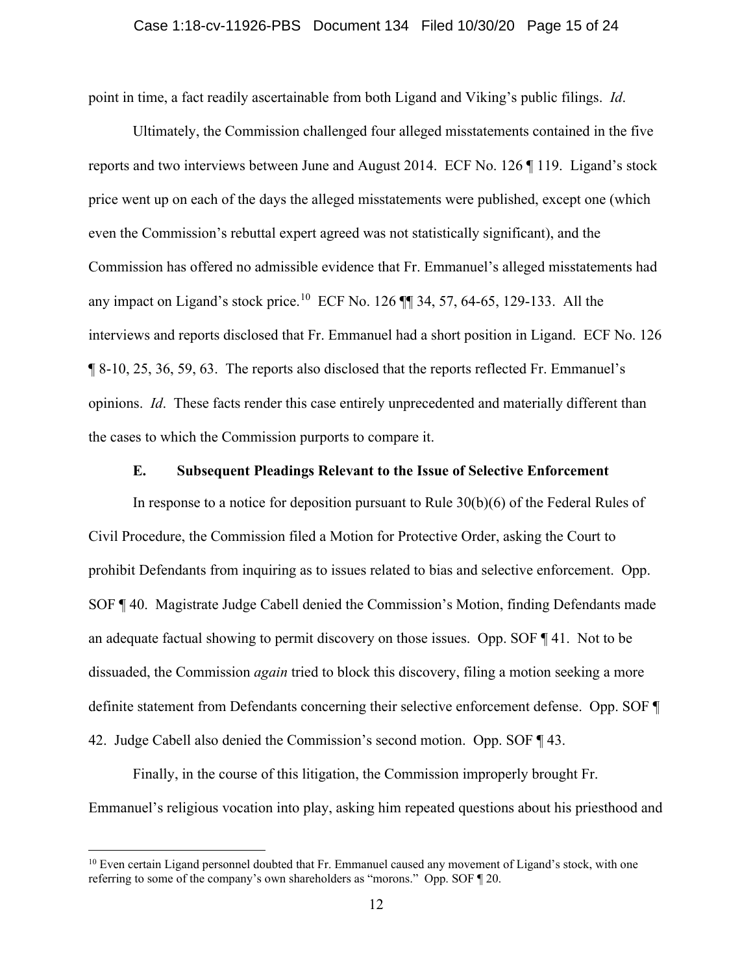point in time, a fact readily ascertainable from both Ligand and Viking's public filings. *Id*.

Ultimately, the Commission challenged four alleged misstatements contained in the five reports and two interviews between June and August 2014. ECF No. 126 ¶ 119. Ligand's stock price went up on each of the days the alleged misstatements were published, except one (which even the Commission's rebuttal expert agreed was not statistically significant), and the Commission has offered no admissible evidence that Fr. Emmanuel's alleged misstatements had any impact on Ligand's stock price.<sup>[10](#page-14-0)</sup> ECF No. 126  $\P$  34, 57, 64-65, 129-133. All the interviews and reports disclosed that Fr. Emmanuel had a short position in Ligand. ECF No. 126 ¶ 8-10, 25, 36, 59, 63. The reports also disclosed that the reports reflected Fr. Emmanuel's opinions. *Id*. These facts render this case entirely unprecedented and materially different than the cases to which the Commission purports to compare it.

#### **E. Subsequent Pleadings Relevant to the Issue of Selective Enforcement**

In response to a notice for deposition pursuant to Rule 30(b)(6) of the Federal Rules of Civil Procedure, the Commission filed a Motion for Protective Order, asking the Court to prohibit Defendants from inquiring as to issues related to bias and selective enforcement. Opp. SOF ¶ 40. Magistrate Judge Cabell denied the Commission's Motion, finding Defendants made an adequate factual showing to permit discovery on those issues. Opp. SOF ¶ 41. Not to be dissuaded, the Commission *again* tried to block this discovery, filing a motion seeking a more definite statement from Defendants concerning their selective enforcement defense. Opp. SOF ¶ 42. Judge Cabell also denied the Commission's second motion. Opp. SOF ¶ 43.

Finally, in the course of this litigation, the Commission improperly brought Fr. Emmanuel's religious vocation into play, asking him repeated questions about his priesthood and

<span id="page-14-0"></span> $10$  Even certain Ligand personnel doubted that Fr. Emmanuel caused any movement of Ligand's stock, with one referring to some of the company's own shareholders as "morons." Opp. SOF ¶ 20.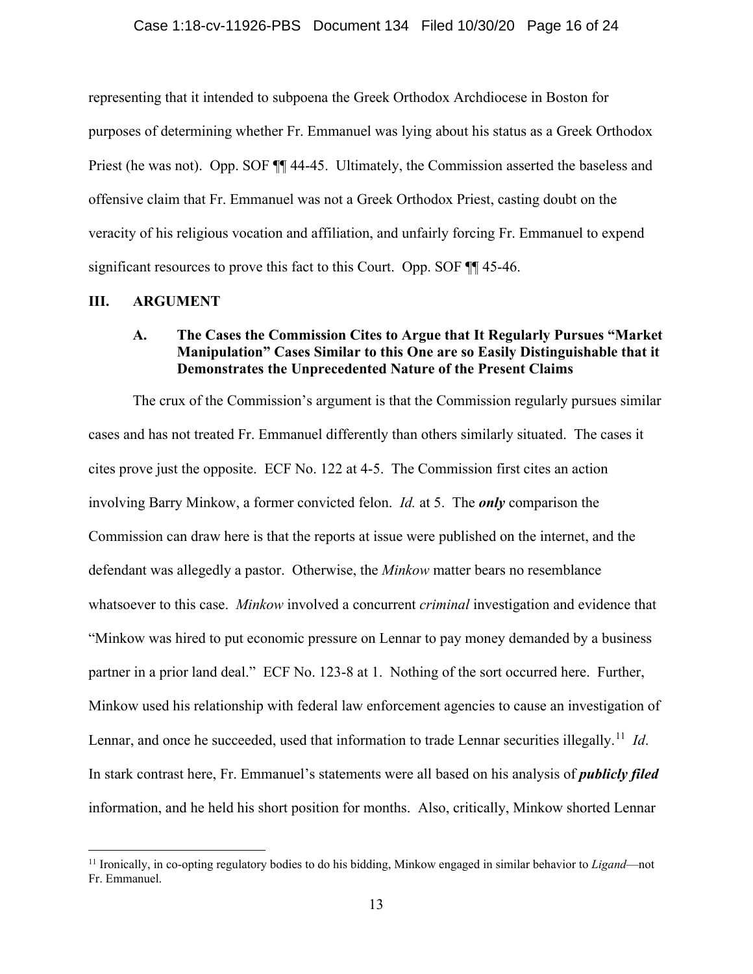representing that it intended to subpoena the Greek Orthodox Archdiocese in Boston for purposes of determining whether Fr. Emmanuel was lying about his status as a Greek Orthodox Priest (he was not). Opp. SOF ¶¶ 44-45. Ultimately, the Commission asserted the baseless and offensive claim that Fr. Emmanuel was not a Greek Orthodox Priest, casting doubt on the veracity of his religious vocation and affiliation, and unfairly forcing Fr. Emmanuel to expend significant resources to prove this fact to this Court. Opp. SOF ¶¶ 45-46.

#### **III. ARGUMENT**

## **A. The Cases the Commission Cites to Argue that It Regularly Pursues "Market Manipulation" Cases Similar to this One are so Easily Distinguishable that it Demonstrates the Unprecedented Nature of the Present Claims**

The crux of the Commission's argument is that the Commission regularly pursues similar cases and has not treated Fr. Emmanuel differently than others similarly situated. The cases it cites prove just the opposite. ECF No. 122 at 4-5. The Commission first cites an action involving Barry Minkow, a former convicted felon. *Id.* at 5. The *only* comparison the Commission can draw here is that the reports at issue were published on the internet, and the defendant was allegedly a pastor. Otherwise, the *Minkow* matter bears no resemblance whatsoever to this case. *Minkow* involved a concurrent *criminal* investigation and evidence that "Minkow was hired to put economic pressure on Lennar to pay money demanded by a business partner in a prior land deal." ECF No. 123-8 at 1. Nothing of the sort occurred here. Further, Minkow used his relationship with federal law enforcement agencies to cause an investigation of Lennar, and once he succeeded, used that information to trade Lennar securities illegally. [11](#page-15-0) *Id*. In stark contrast here, Fr. Emmanuel's statements were all based on his analysis of *publicly filed* information, and he held his short position for months. Also, critically, Minkow shorted Lennar

<span id="page-15-0"></span><sup>11</sup> Ironically, in co-opting regulatory bodies to do his bidding, Minkow engaged in similar behavior to *Ligand*—not Fr. Emmanuel.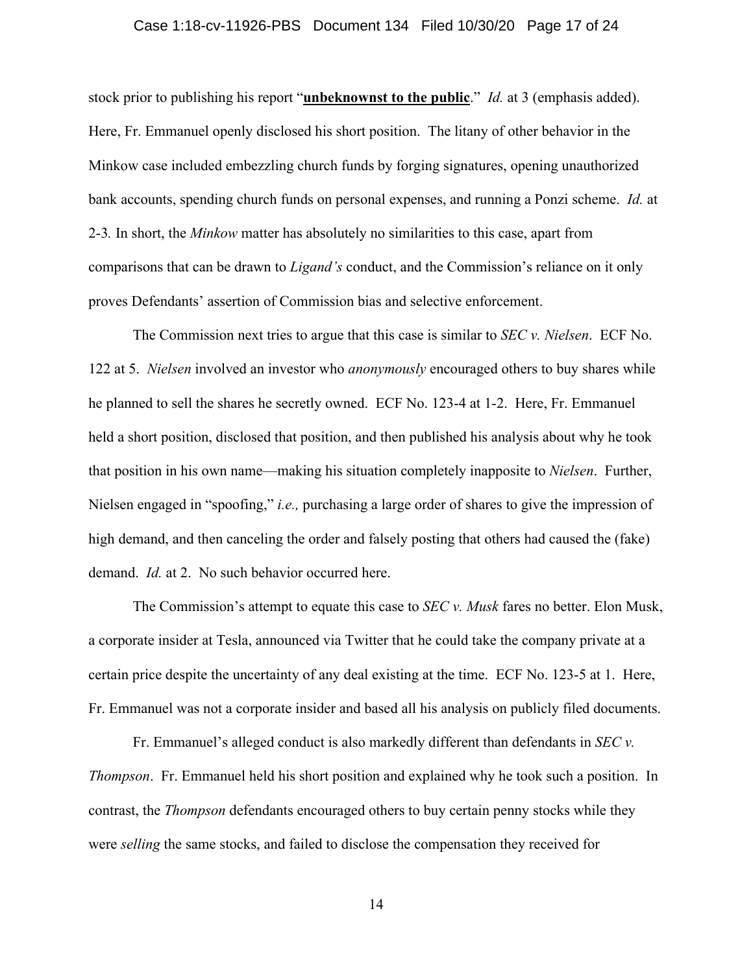#### Case 1:18-cv-11926-PBS Document 134 Filed 10/30/20 Page 17 of 24

stock prior to publishing his report "**unbeknownst to the public**." *Id.* at 3 (emphasis added). Here, Fr. Emmanuel openly disclosed his short position. The litany of other behavior in the Minkow case included embezzling church funds by forging signatures, opening unauthorized bank accounts, spending church funds on personal expenses, and running a Ponzi scheme. *Id.* at 2-3*.* In short, the *Minkow* matter has absolutely no similarities to this case, apart from comparisons that can be drawn to *Ligand's* conduct, and the Commission's reliance on it only proves Defendants' assertion of Commission bias and selective enforcement.

The Commission next tries to argue that this case is similar to *SEC v. Nielsen*. ECF No. 122 at 5. *Nielsen* involved an investor who *anonymously* encouraged others to buy shares while he planned to sell the shares he secretly owned. ECF No. 123-4 at 1-2. Here, Fr. Emmanuel held a short position, disclosed that position, and then published his analysis about why he took that position in his own name—making his situation completely inapposite to *Nielsen*. Further, Nielsen engaged in "spoofing," *i.e.,* purchasing a large order of shares to give the impression of high demand, and then canceling the order and falsely posting that others had caused the (fake) demand. *Id.* at 2. No such behavior occurred here.

The Commission's attempt to equate this case to *SEC v. Musk* fares no better. Elon Musk, a corporate insider at Tesla, announced via Twitter that he could take the company private at a certain price despite the uncertainty of any deal existing at the time. ECF No. 123-5 at 1. Here, Fr. Emmanuel was not a corporate insider and based all his analysis on publicly filed documents.

Fr. Emmanuel's alleged conduct is also markedly different than defendants in *SEC v. Thompson*. Fr. Emmanuel held his short position and explained why he took such a position. In contrast, the *Thompson* defendants encouraged others to buy certain penny stocks while they were *selling* the same stocks, and failed to disclose the compensation they received for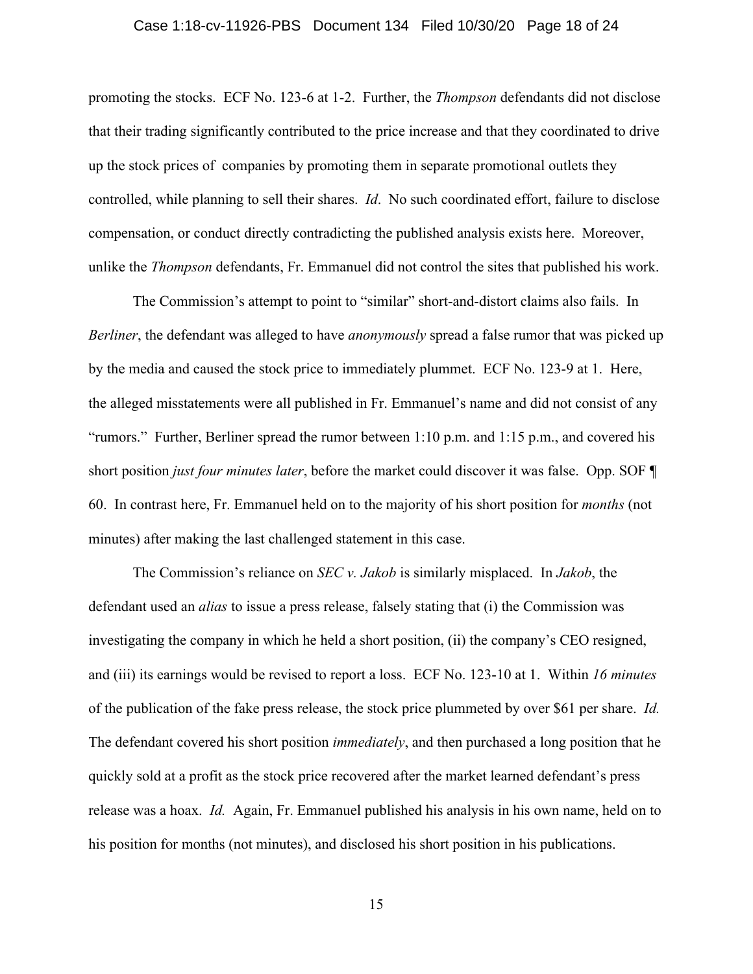#### Case 1:18-cv-11926-PBS Document 134 Filed 10/30/20 Page 18 of 24

promoting the stocks. ECF No. 123-6 at 1-2. Further, the *Thompson* defendants did not disclose that their trading significantly contributed to the price increase and that they coordinated to drive up the stock prices of companies by promoting them in separate promotional outlets they controlled, while planning to sell their shares. *Id*. No such coordinated effort, failure to disclose compensation, or conduct directly contradicting the published analysis exists here. Moreover, unlike the *Thompson* defendants, Fr. Emmanuel did not control the sites that published his work.

The Commission's attempt to point to "similar" short-and-distort claims also fails. In *Berliner*, the defendant was alleged to have *anonymously* spread a false rumor that was picked up by the media and caused the stock price to immediately plummet. ECF No. 123-9 at 1. Here, the alleged misstatements were all published in Fr. Emmanuel's name and did not consist of any "rumors." Further, Berliner spread the rumor between 1:10 p.m. and 1:15 p.m., and covered his short position *just four minutes later*, before the market could discover it was false. Opp. SOF ¶ 60. In contrast here, Fr. Emmanuel held on to the majority of his short position for *months* (not minutes) after making the last challenged statement in this case.

The Commission's reliance on *SEC v. Jakob* is similarly misplaced. In *Jakob*, the defendant used an *alias* to issue a press release, falsely stating that (i) the Commission was investigating the company in which he held a short position, (ii) the company's CEO resigned, and (iii) its earnings would be revised to report a loss. ECF No. 123-10 at 1. Within *16 minutes* of the publication of the fake press release, the stock price plummeted by over \$61 per share. *Id.* The defendant covered his short position *immediately*, and then purchased a long position that he quickly sold at a profit as the stock price recovered after the market learned defendant's press release was a hoax. *Id.* Again, Fr. Emmanuel published his analysis in his own name, held on to his position for months (not minutes), and disclosed his short position in his publications.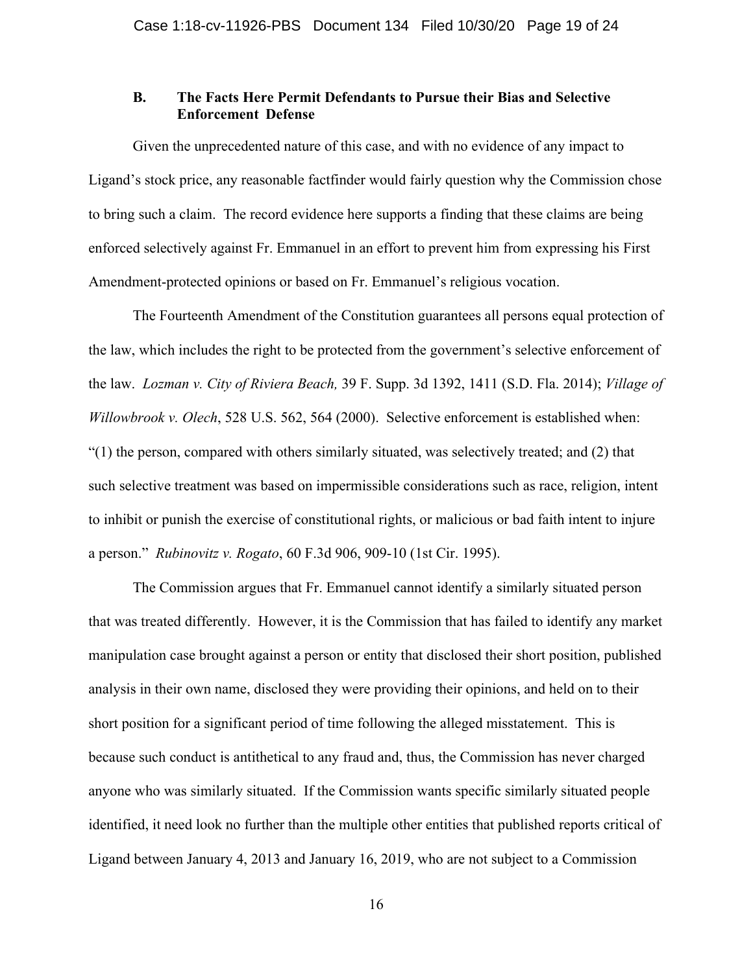## **B. The Facts Here Permit Defendants to Pursue their Bias and Selective Enforcement Defense**

Given the unprecedented nature of this case, and with no evidence of any impact to Ligand's stock price, any reasonable factfinder would fairly question why the Commission chose to bring such a claim. The record evidence here supports a finding that these claims are being enforced selectively against Fr. Emmanuel in an effort to prevent him from expressing his First Amendment-protected opinions or based on Fr. Emmanuel's religious vocation.

The Fourteenth Amendment of the Constitution guarantees all persons equal protection of the law, which includes the right to be protected from the government's selective enforcement of the law. *Lozman v. City of Riviera Beach,* 39 F. Supp. 3d 1392, 1411 (S.D. Fla. 2014); *Village of Willowbrook v. Olech*, 528 U.S. 562, 564 (2000). Selective enforcement is established when:  $(1)$  the person, compared with others similarly situated, was selectively treated; and  $(2)$  that such selective treatment was based on impermissible considerations such as race, religion, intent to inhibit or punish the exercise of constitutional rights, or malicious or bad faith intent to injure a person." *Rubinovitz v. Rogato*, 60 F.3d 906, 909-10 (1st Cir. 1995).

The Commission argues that Fr. Emmanuel cannot identify a similarly situated person that was treated differently. However, it is the Commission that has failed to identify any market manipulation case brought against a person or entity that disclosed their short position, published analysis in their own name, disclosed they were providing their opinions, and held on to their short position for a significant period of time following the alleged misstatement. This is because such conduct is antithetical to any fraud and, thus, the Commission has never charged anyone who was similarly situated. If the Commission wants specific similarly situated people identified, it need look no further than the multiple other entities that published reports critical of Ligand between January 4, 2013 and January 16, 2019, who are not subject to a Commission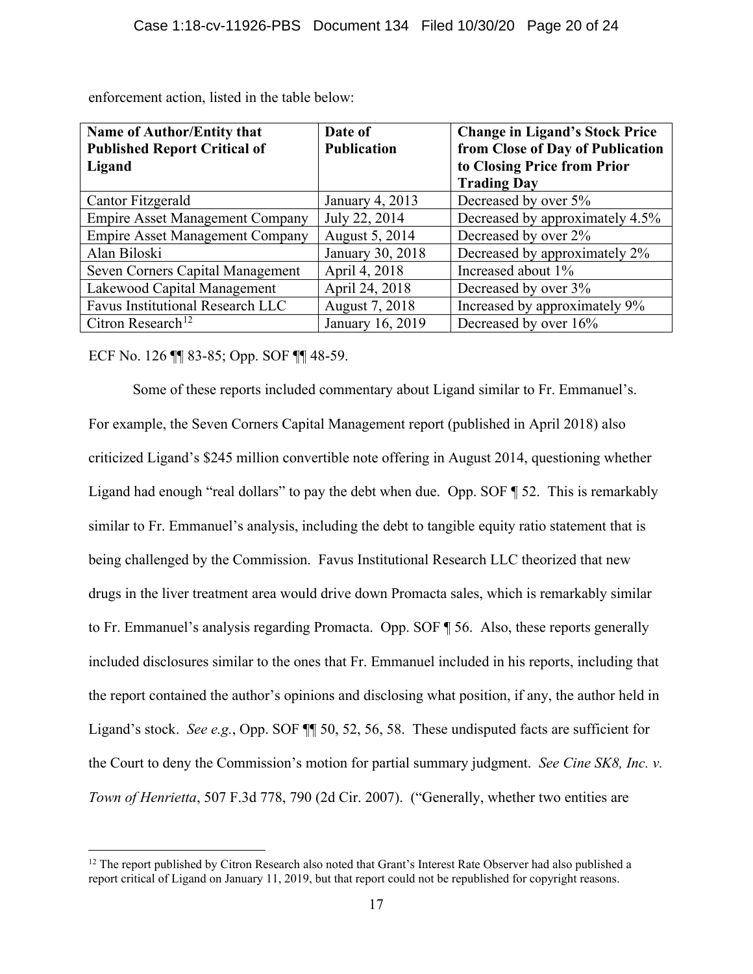| <b>Name of Author/Entity that</b>      | Date of            | <b>Change in Ligand's Stock Price</b> |
|----------------------------------------|--------------------|---------------------------------------|
| <b>Published Report Critical of</b>    | <b>Publication</b> | from Close of Day of Publication      |
| Ligand                                 |                    | to Closing Price from Prior           |
|                                        |                    | <b>Trading Day</b>                    |
| Cantor Fitzgerald                      | January 4, 2013    | Decreased by over 5%                  |
| <b>Empire Asset Management Company</b> | July 22, 2014      | Decreased by approximately 4.5%       |
| <b>Empire Asset Management Company</b> | August 5, 2014     | Decreased by over 2%                  |
| Alan Biloski                           | January 30, 2018   | Decreased by approximately 2%         |
| Seven Corners Capital Management       | April 4, 2018      | Increased about 1%                    |
| Lakewood Capital Management            | April 24, 2018     | Decreased by over 3%                  |
| Favus Institutional Research LLC       | August 7, 2018     | Increased by approximately 9%         |
| Citron Research <sup>12</sup>          | January 16, 2019   | Decreased by over 16%                 |

enforcement action, listed in the table below:

ECF No. 126 ¶¶ 83-85; Opp. SOF ¶¶ 48-59.

Some of these reports included commentary about Ligand similar to Fr. Emmanuel's. For example, the Seven Corners Capital Management report (published in April 2018) also criticized Ligand's \$245 million convertible note offering in August 2014, questioning whether Ligand had enough "real dollars" to pay the debt when due. Opp. SOF ¶ 52. This is remarkably similar to Fr. Emmanuel's analysis, including the debt to tangible equity ratio statement that is being challenged by the Commission. Favus Institutional Research LLC theorized that new drugs in the liver treatment area would drive down Promacta sales, which is remarkably similar to Fr. Emmanuel's analysis regarding Promacta. Opp. SOF ¶ 56. Also, these reports generally included disclosures similar to the ones that Fr. Emmanuel included in his reports, including that the report contained the author's opinions and disclosing what position, if any, the author held in Ligand's stock. *See e.g.*, Opp. SOF ¶¶ 50, 52, 56, 58. These undisputed facts are sufficient for the Court to deny the Commission's motion for partial summary judgment. *See Cine SK8, Inc. v. Town of Henrietta*, 507 F.3d 778, 790 (2d Cir. 2007). ("Generally, whether two entities are

<span id="page-19-0"></span> $12$  The report published by Citron Research also noted that Grant's Interest Rate Observer had also published a report critical of Ligand on January 11, 2019, but that report could not be republished for copyright reasons.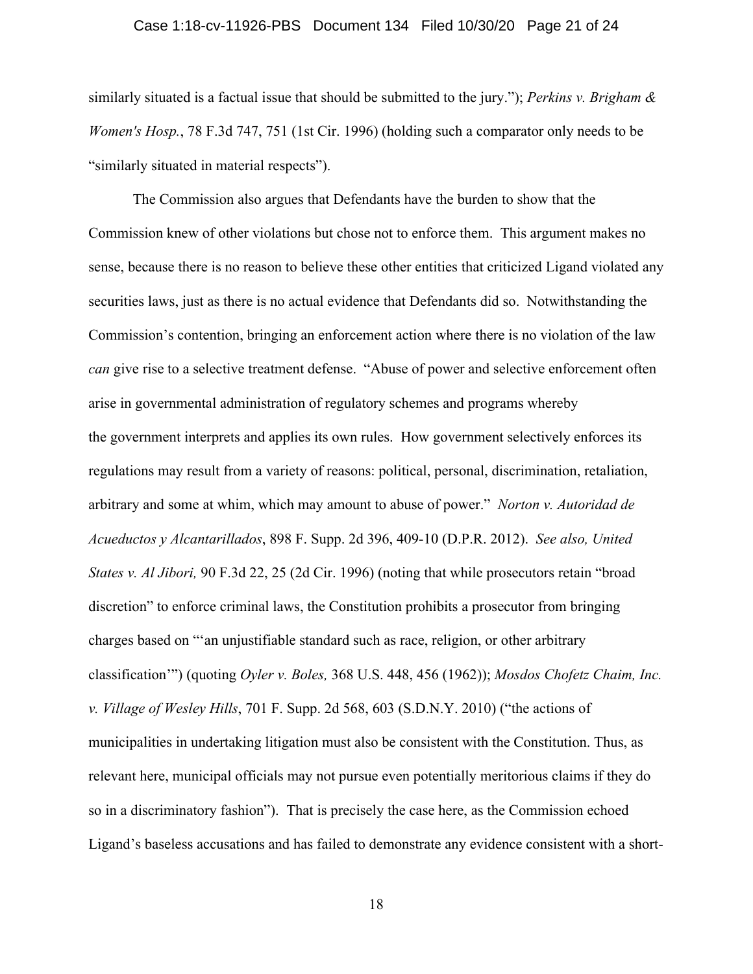#### Case 1:18-cv-11926-PBS Document 134 Filed 10/30/20 Page 21 of 24

similarly situated is a factual issue that should be submitted to the jury."); *Perkins v. Brigham & Women's Hosp.*, 78 F.3d 747, 751 (1st Cir. 1996) (holding such a comparator only needs to be "similarly situated in material respects").

The Commission also argues that Defendants have the burden to show that the Commission knew of other violations but chose not to enforce them. This argument makes no sense, because there is no reason to believe these other entities that criticized Ligand violated any securities laws, just as there is no actual evidence that Defendants did so. Notwithstanding the Commission's contention, bringing an enforcement action where there is no violation of the law *can* give rise to a selective treatment defense. "Abuse of power and selective enforcement often arise in governmental administration of regulatory schemes and programs whereby the government interprets and applies its own rules. How government selectively enforces its regulations may result from a variety of reasons: political, personal, discrimination, retaliation, arbitrary and some at whim, which may amount to abuse of power." *Norton v. Autoridad de Acueductos y Alcantarillados*, 898 F. Supp. 2d 396, 409-10 (D.P.R. 2012). *See also, United States v. Al Jibori,* 90 F.3d 22, 25 (2d Cir. 1996) (noting that while prosecutors retain "broad discretion" to enforce criminal laws, the Constitution prohibits a prosecutor from bringing charges based on "'an unjustifiable standard such as race, religion, or other arbitrary classification'") (quoting *Oyler v. Boles,* 368 U.S. 448, 456 (1962)); *Mosdos Chofetz Chaim, Inc. v. Village of Wesley Hills*, 701 F. Supp. 2d 568, 603 (S.D.N.Y. 2010) ("the actions of municipalities in undertaking litigation must also be consistent with the Constitution. Thus, as relevant here, municipal officials may not pursue even potentially meritorious claims if they do so in a discriminatory fashion"). That is precisely the case here, as the Commission echoed Ligand's baseless accusations and has failed to demonstrate any evidence consistent with a short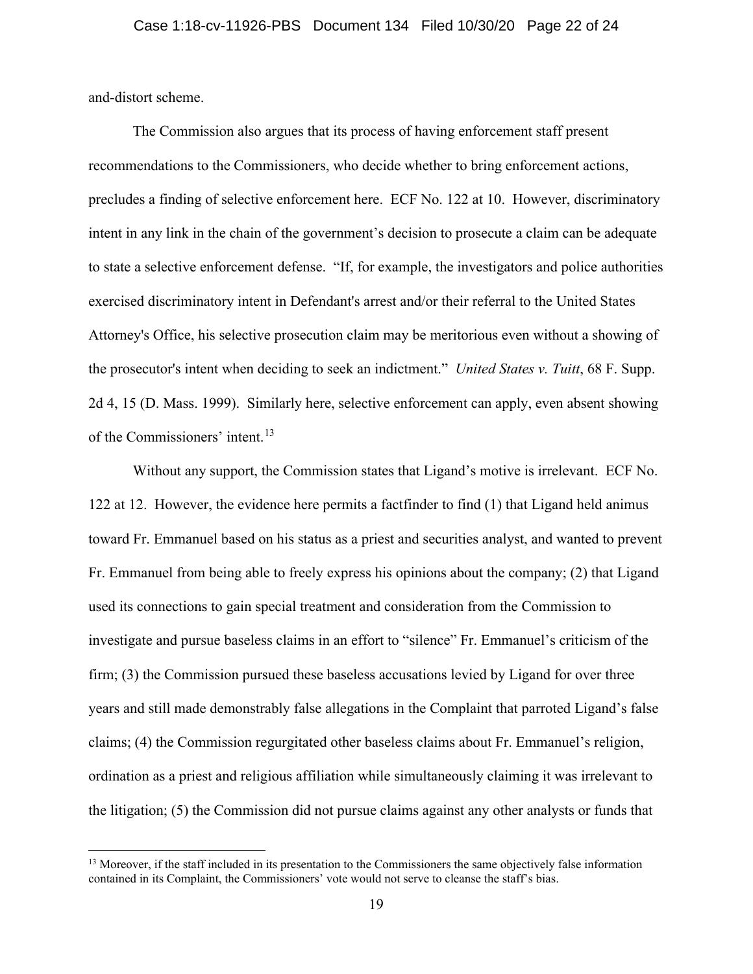and-distort scheme.

The Commission also argues that its process of having enforcement staff present recommendations to the Commissioners, who decide whether to bring enforcement actions, precludes a finding of selective enforcement here. ECF No. 122 at 10. However, discriminatory intent in any link in the chain of the government's decision to prosecute a claim can be adequate to state a selective enforcement defense. "If, for example, the investigators and police authorities exercised discriminatory intent in Defendant's arrest and/or their referral to the United States Attorney's Office, his selective prosecution claim may be meritorious even without a showing of the prosecutor's intent when deciding to seek an indictment." *United States v. Tuitt*, 68 F. Supp. 2d 4, 15 (D. Mass. 1999). Similarly here, selective enforcement can apply, even absent showing of the Commissioners' intent.[13](#page-21-0)

Without any support, the Commission states that Ligand's motive is irrelevant. ECF No. 122 at 12. However, the evidence here permits a factfinder to find (1) that Ligand held animus toward Fr. Emmanuel based on his status as a priest and securities analyst, and wanted to prevent Fr. Emmanuel from being able to freely express his opinions about the company; (2) that Ligand used its connections to gain special treatment and consideration from the Commission to investigate and pursue baseless claims in an effort to "silence" Fr. Emmanuel's criticism of the firm; (3) the Commission pursued these baseless accusations levied by Ligand for over three years and still made demonstrably false allegations in the Complaint that parroted Ligand's false claims; (4) the Commission regurgitated other baseless claims about Fr. Emmanuel's religion, ordination as a priest and religious affiliation while simultaneously claiming it was irrelevant to the litigation; (5) the Commission did not pursue claims against any other analysts or funds that

<span id="page-21-0"></span><sup>&</sup>lt;sup>13</sup> Moreover, if the staff included in its presentation to the Commissioners the same objectively false information contained in its Complaint, the Commissioners' vote would not serve to cleanse the staff's bias.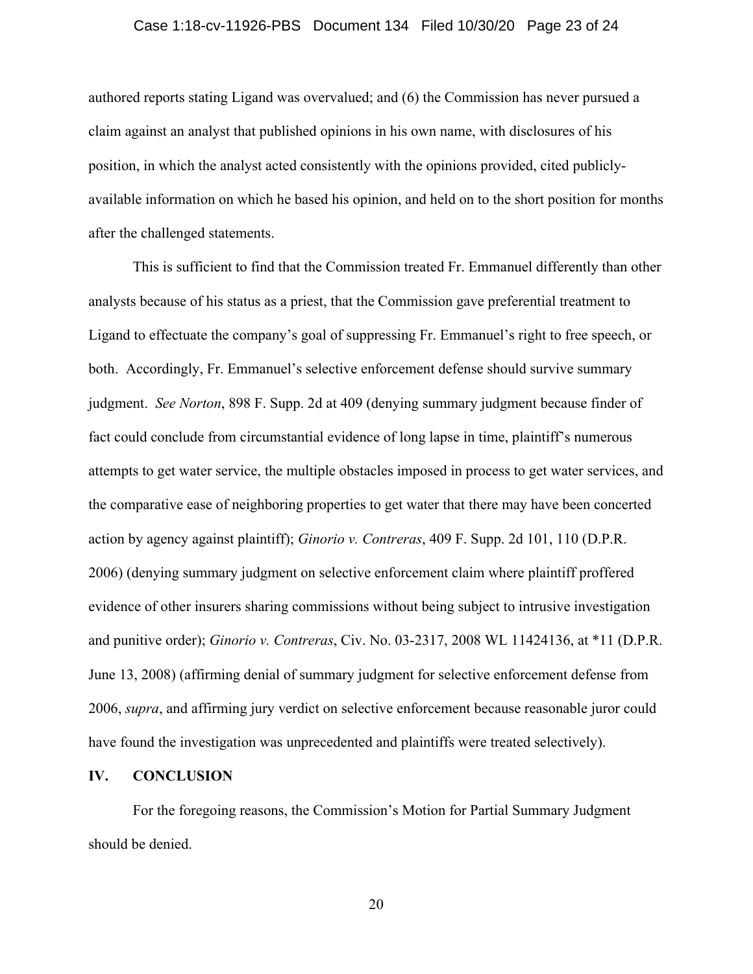#### Case 1:18-cv-11926-PBS Document 134 Filed 10/30/20 Page 23 of 24

authored reports stating Ligand was overvalued; and (6) the Commission has never pursued a claim against an analyst that published opinions in his own name, with disclosures of his position, in which the analyst acted consistently with the opinions provided, cited publiclyavailable information on which he based his opinion, and held on to the short position for months after the challenged statements.

This is sufficient to find that the Commission treated Fr. Emmanuel differently than other analysts because of his status as a priest, that the Commission gave preferential treatment to Ligand to effectuate the company's goal of suppressing Fr. Emmanuel's right to free speech, or both. Accordingly, Fr. Emmanuel's selective enforcement defense should survive summary judgment. *See Norton*, 898 F. Supp. 2d at 409 (denying summary judgment because finder of fact could conclude from circumstantial evidence of long lapse in time, plaintiff's numerous attempts to get water service, the multiple obstacles imposed in process to get water services, and the comparative ease of neighboring properties to get water that there may have been concerted action by agency against plaintiff); *Ginorio v. Contreras*, 409 F. Supp. 2d 101, 110 (D.P.R. 2006) (denying summary judgment on selective enforcement claim where plaintiff proffered evidence of other insurers sharing commissions without being subject to intrusive investigation and punitive order); *Ginorio v. Contreras*, Civ. No. 03-2317, 2008 WL 11424136, at \*11 (D.P.R. June 13, 2008) (affirming denial of summary judgment for selective enforcement defense from 2006, *supra*, and affirming jury verdict on selective enforcement because reasonable juror could have found the investigation was unprecedented and plaintiffs were treated selectively).

#### **IV. CONCLUSION**

For the foregoing reasons, the Commission's Motion for Partial Summary Judgment should be denied.